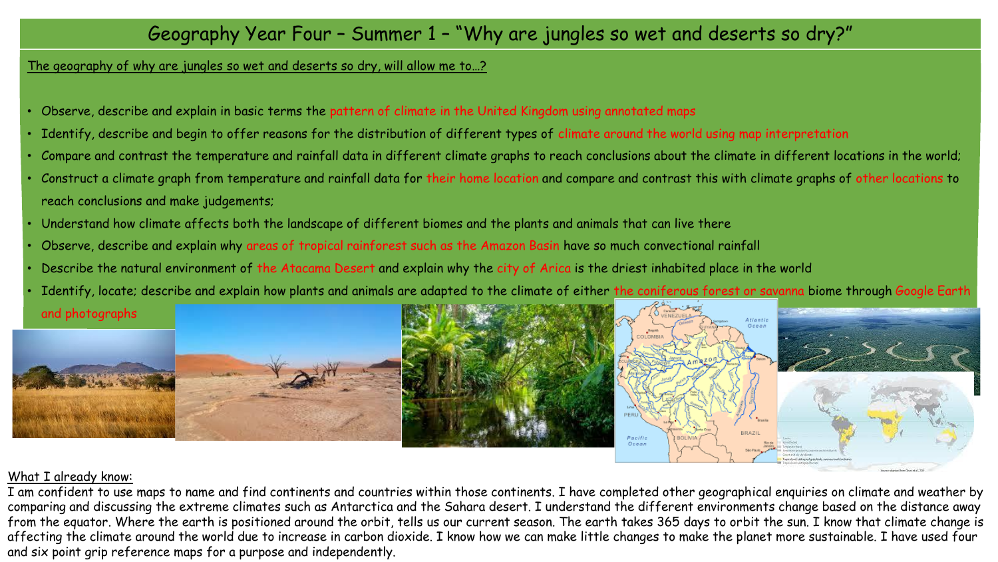### The geography of why are jungles so wet and deserts so dry, will allow me to…?

- Observe, describe and explain in basic terms the pattern of climate in the United Kingdom using annotated maps
- Identify, describe and begin to offer reasons for the distribution of different types of climate around the world using map interpretation
- Compare and contrast the temperature and rainfall data in different climate graphs to reach conclusions about the climate in different locations in the world;
- Construct a climate graph from temperature and rainfall data for their home location and compare and contrast this with climate graphs of other locations to reach conclusions and make judgements;
- Understand how climate affects both the landscape of different biomes and the plants and animals that can live there
- Observe, describe and explain why areas of tropical rainforest such as the Amazon Basin have so much convectional rainfall
- Describe the natural environment of the Atacama Desert and explain why the city of Arica is the driest inhabited place in the world
- Identify, locate; describe and explain how plants and animals are adapted to the climate of either the coniferous forest or savanna biome through Google Earth and photographs



### What I already know:

I am confident to use maps to name and find continents and countries within those continents. I have completed other geographical enquiries on climate and weather by comparing and discussing the extreme climates such as Antarctica and the Sahara desert. I understand the different environments change based on the distance away from the equator. Where the earth is positioned around the orbit, tells us our current season. The earth takes 365 days to orbit the sun. I know that climate change is affecting the climate around the world due to increase in carbon dioxide. I know how we can make little changes to make the planet more sustainable. I have used four and six point grip reference maps for a purpose and independently.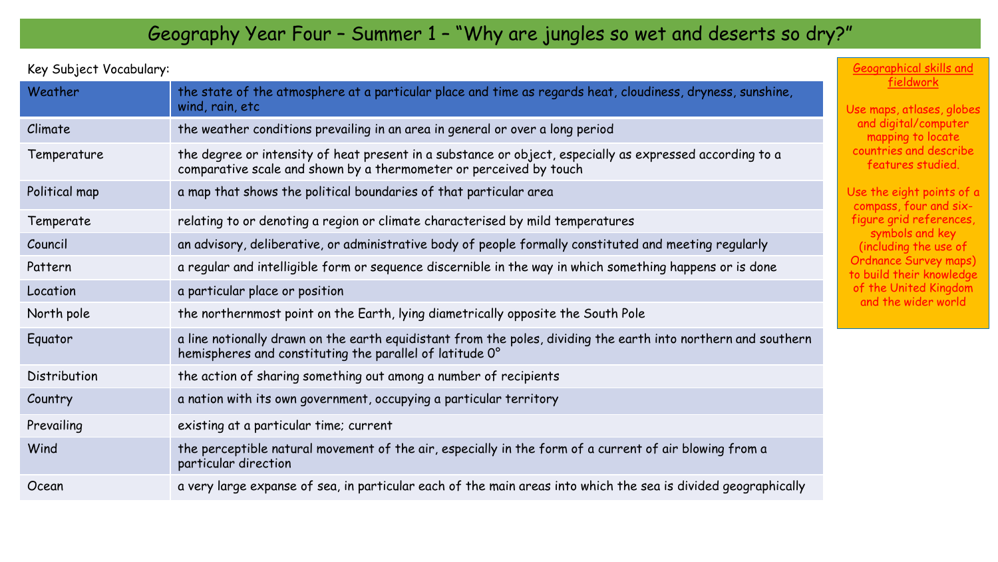Key Subject Vocabulary:

| Weather       | the state of the atmosphere at a particular place and time as regards heat, cloudiness, dryness, sunshine,<br>wind, rain, etc                                                  | U. |
|---------------|--------------------------------------------------------------------------------------------------------------------------------------------------------------------------------|----|
| Climate       | the weather conditions prevailing in an area in general or over a long period                                                                                                  |    |
| Temperature   | the degree or intensity of heat present in a substance or object, especially as expressed according to a<br>comparative scale and shown by a thermometer or perceived by touch |    |
| Political map | a map that shows the political boundaries of that particular area                                                                                                              | U: |
| Temperate     | relating to or denoting a region or climate characterised by mild temperatures                                                                                                 |    |
| Council       | an advisory, deliberative, or administrative body of people formally constituted and meeting regularly                                                                         |    |
| Pattern       | a regular and intelligible form or sequence discernible in the way in which something happens or is done                                                                       |    |
| Location      | a particular place or position                                                                                                                                                 |    |
| North pole    | the northernmost point on the Earth, lying diametrically opposite the South Pole                                                                                               |    |
| Equator       | a line notionally drawn on the earth equidistant from the poles, dividing the earth into northern and southern<br>hemispheres and constituting the parallel of latitude 0°     |    |
| Distribution  | the action of sharing something out among a number of recipients                                                                                                               |    |
| Country       | a nation with its own government, occupying a particular territory                                                                                                             |    |
| Prevailing    | existing at a particular time; current                                                                                                                                         |    |
| Wind          | the perceptible natural movement of the air, especially in the form of a current of air blowing from a<br>particular direction                                                 |    |
| Ocean         | a very large expanse of sea, in particular each of the main areas into which the sea is divided geographically                                                                 |    |

#### Geographical skills and fieldwork

se maps, atlases, globes and digital/computer mapping to locate countries and describe features studied.

se the eight points of a compass, four and sixigure grid references, symbols and key (including the use of rdnance Survey maps) build their knowledge of the United Kingdom and the wider world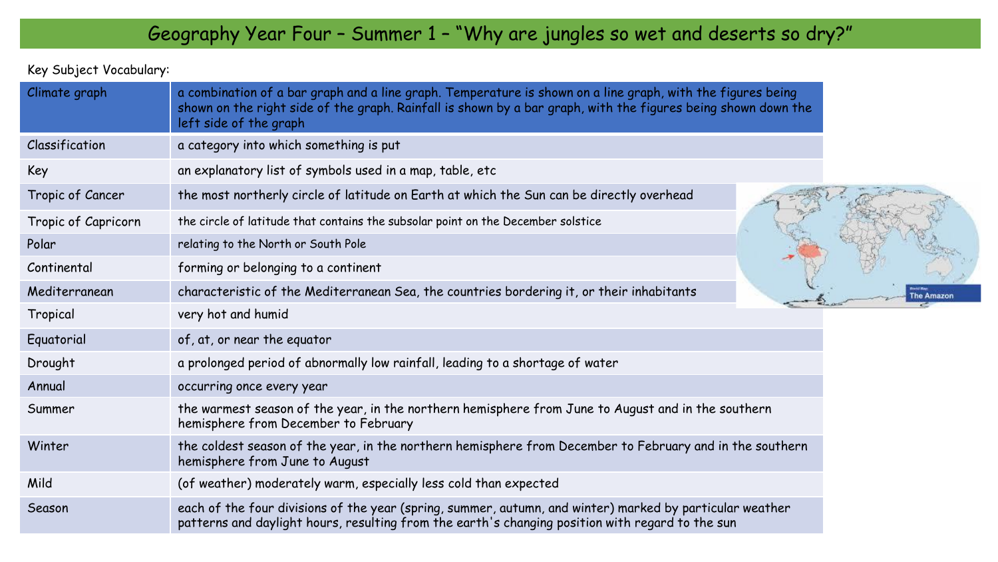Key Subject Vocabulary:

| Climate graph       | a combination of a bar graph and a line graph. Temperature is shown on a line graph, with the figures being<br>shown on the right side of the graph. Rainfall is shown by a bar graph, with the figures being shown down the<br>left side of the graph |
|---------------------|--------------------------------------------------------------------------------------------------------------------------------------------------------------------------------------------------------------------------------------------------------|
| Classification      | a category into which something is put                                                                                                                                                                                                                 |
| Key                 | an explanatory list of symbols used in a map, table, etc                                                                                                                                                                                               |
| Tropic of Cancer    | the most northerly circle of latitude on Earth at which the Sun can be directly overhead                                                                                                                                                               |
| Tropic of Capricorn | the circle of latitude that contains the subsolar point on the December solstice                                                                                                                                                                       |
| Polar               | relating to the North or South Pole                                                                                                                                                                                                                    |
| Continental         | forming or belonging to a continent                                                                                                                                                                                                                    |
| Mediterranean       | characteristic of the Mediterranean Sea, the countries bordering it, or their inhabitants                                                                                                                                                              |
| Tropical            | very hot and humid                                                                                                                                                                                                                                     |
| Equatorial          | of, at, or near the equator                                                                                                                                                                                                                            |
| Drought             | a prolonged period of abnormally low rainfall, leading to a shortage of water                                                                                                                                                                          |
| Annual              | occurring once every year                                                                                                                                                                                                                              |
| Summer              | the warmest season of the year, in the northern hemisphere from June to August and in the southern<br>hemisphere from December to February                                                                                                             |
| Winter              | the coldest season of the year, in the northern hemisphere from December to February and in the southern<br>hemisphere from June to August                                                                                                             |
| Mild                | (of weather) moderately warm, especially less cold than expected                                                                                                                                                                                       |
| Season              | each of the four divisions of the year (spring, summer, autumn, and winter) marked by particular weather<br>patterns and daylight hours, resulting from the earth's changing position with regard to the sun                                           |

Amazon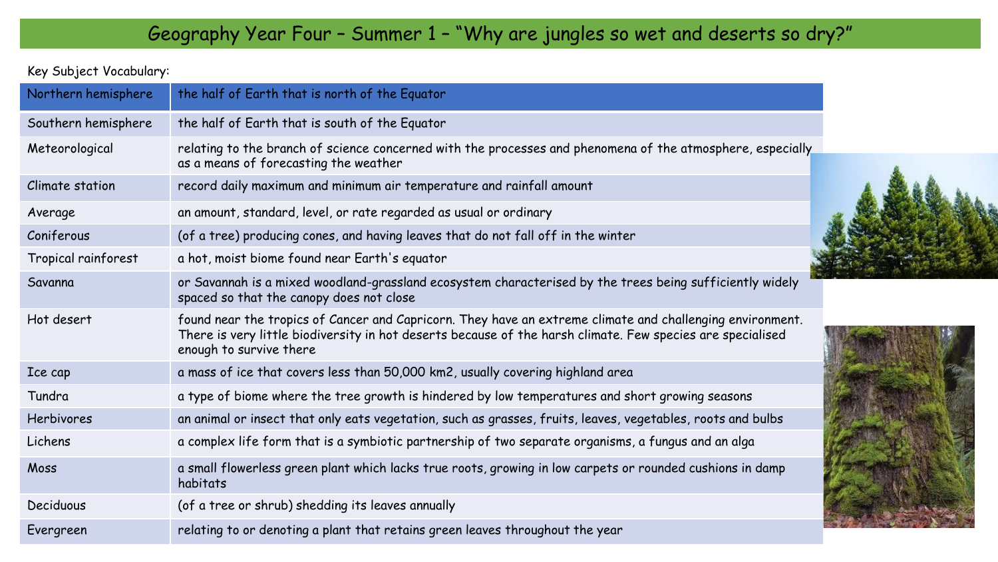### Key Subject Vocabulary:

| Northern hemisphere | the half of Earth that is north of the Equator                                                                                                                                                                                                     |
|---------------------|----------------------------------------------------------------------------------------------------------------------------------------------------------------------------------------------------------------------------------------------------|
| Southern hemisphere | the half of Earth that is south of the Equator                                                                                                                                                                                                     |
| Meteorological      | relating to the branch of science concerned with the processes and phenomena of the atmosphere, especially<br>as a means of forecasting the weather                                                                                                |
| Climate station     | record daily maximum and minimum air temperature and rainfall amount                                                                                                                                                                               |
| Average             | an amount, standard, level, or rate regarded as usual or ordinary                                                                                                                                                                                  |
| Coniferous          | (of a tree) producing cones, and having leaves that do not fall off in the winter                                                                                                                                                                  |
| Tropical rainforest | a hot, moist biome found near Earth's equator                                                                                                                                                                                                      |
| Savanna             | or Savannah is a mixed woodland-grassland ecosystem characterised by the trees being sufficiently widely<br>spaced so that the canopy does not close                                                                                               |
| Hot desert          | found near the tropics of Cancer and Capricorn. They have an extreme climate and challenging environment.<br>There is very little biodiversity in hot deserts because of the harsh climate. Few species are specialised<br>enough to survive there |
| Ice cap             | a mass of ice that covers less than 50,000 km2, usually covering highland area                                                                                                                                                                     |
| Tundra              | a type of biome where the tree growth is hindered by low temperatures and short growing seasons                                                                                                                                                    |
| <b>Herbivores</b>   | an animal or insect that only eats vegetation, such as grasses, fruits, leaves, vegetables, roots and bulbs                                                                                                                                        |
| Lichens             | a complex life form that is a symbiotic partnership of two separate organisms, a fungus and an alga                                                                                                                                                |
| Moss                | a small flowerless green plant which lacks true roots, growing in low carpets or rounded cushions in damp<br>habitats                                                                                                                              |
| Deciduous           | (of a tree or shrub) shedding its leaves annually                                                                                                                                                                                                  |
| Evergreen           | relating to or denoting a plant that retains green leaves throughout the year                                                                                                                                                                      |